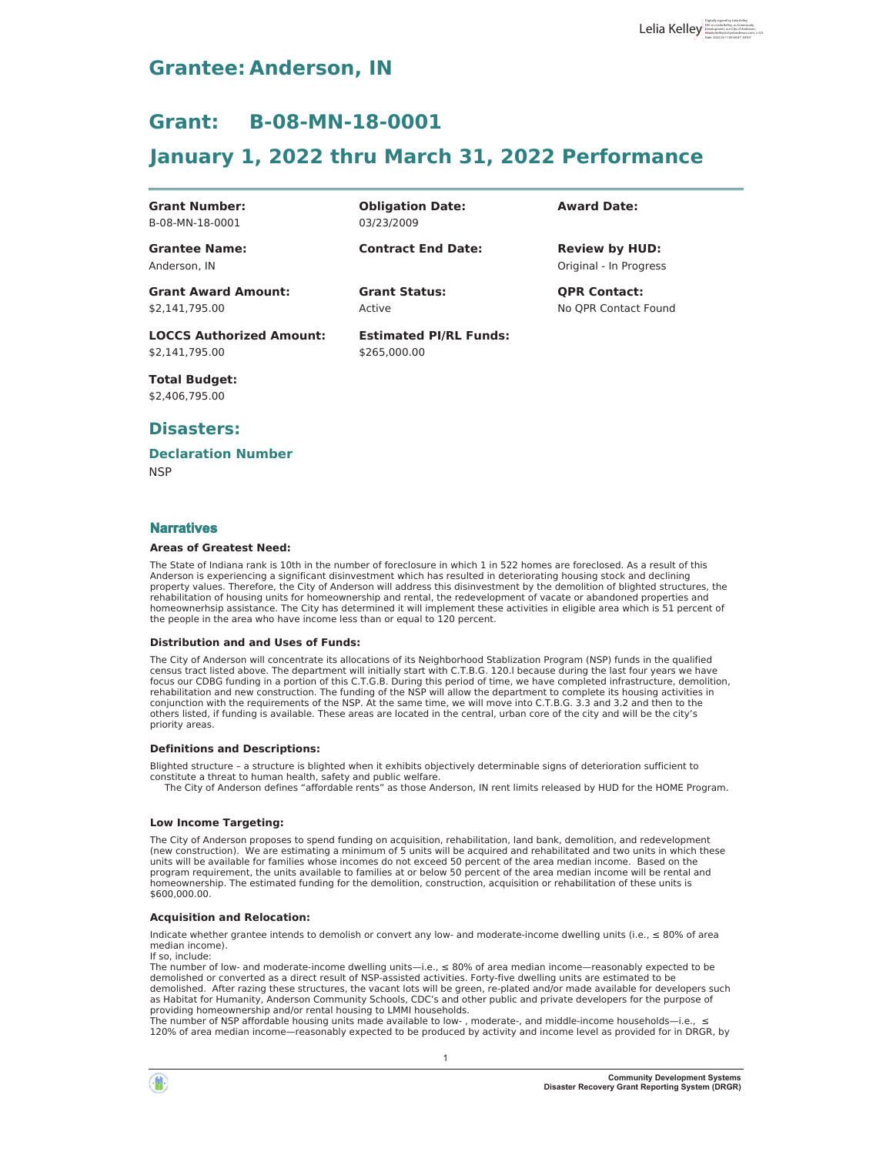# **Grantee: Anderson, IN**

# Grant: B-08-MN-18-0001

# **January 1, 2022 thru March 31, 2022 Performance**

**Grant Number:** B-08-MN-18-0001

**Grantee Name:** Anderson, IN

**2Dbligation Date:** 03/23/2009

**Contract End Date:** 

**Grant Award Amount:** \$2,141,795.00

**LOCCS Authorized Amount:** 

Active

**Estimated PI/RL Funds:** \$265,000.00

**Award Date:** 

Original - In Progress **Review by HUD:** 

**Grant Status: 436 QPR Contact:** No QPR Contact Found

**Total Budget:** 

\$2,406,795.00

\$2.141.795.00

## Disasters:

## **Declaration Number**

 $NSP$ 

### **Narratives**

#### **Areas of Greatest Need:**

The State of Indiana rank is 10th in the number of foreclosure in which 1 in 522 homes are foreclosed. As a result of this Anderson is experiencing a significant disinvestment which has resulted in deteriorating housing stock and declining property values. Therefore, the City of Anderson will address this disinvestment by the demolition of blighted structures, the<br>rehabilitation of housing units for homeownership and rental, the redevelopment of vacate or ab homeownerhsip assistance. The City has determined it will implement these activities in eligible area which is 51 percent of the people in the area who have income less than or equal to 120 percent.

#### **Distribution and and Uses of Funds:**

The City of Anderson will concentrate its allocations of its Neighborhood Stablization Program (NSP) funds in the qualified<br>census tract listed above. The department will initially start with C.T.B.G. 120.I because during focus our CDBG funding in a portion of this C.T.G.B. During this period of time, we have completed infrastructure, demolition, rehabilitation and new construction. The funding of the NSP will allow the department to complete its housing activities in conjunction with the requirements of the NSP. At the same time, we will move into C.T.B.G. 3.3 and 3.2 and then to the others listed, if funding is available. These areas are located in the central, urban core of the city and will be the city's priority areas.

#### **Definitions and Descriptions:**

Blighted structure - a structure is blighted when it exhibits objectively determinable signs of deterioration sufficient to constitute a threat to human health, safety and public welfare.<br>The City of Anderson defines "affordable rents" as those Anderson, IN rent limits released by HUD for the HOME Program.

### **Low Income Targeting:**

The City of Anderson proposes to spend funding on acquisition, rehabilitation, land bank, demolition, and redevelopment (new construction). We are estimating a minimum of 5 units will be acquired and rehabilitated and two units in which these units will be available for families whose incomes do not exceed 50 percent of the area median income. Based on the program requirement, the units available to families at or below 50 percent of the area median income will be rental and homeownership. The estimated funding for the demolition, construction, acquisition or rehabilitation of these units is \$600,000.00.

### **Acquisition and Relocation:**

Indicate whether grantee intends to demolish or convert any low- and moderate-income dwelling units (i.e.,  $\leq 80\%$  of area median income). If so, include:

The number of low- and moderate-income dwelling units—i.e.,  $\leq 80\%$  of area median income—reasonably expected to be demolished or converted as a direct result of NSP-assisted activities. Forty-five dwelling units are estimated to be demolished. After razing these structures, the vacant lots will be green, re-plated and/or made available for developers such as Habitat for Humanity, Anderson Community Schools, CDC's and other public and private developers for the purpose of providing homeownership and/or rental housing to LMMI households.

The number of NSP affordable housing units made available to low-, moderate-, and middle-income households-i.e., s 120% of area median income—reasonably expected to be produced by activity and income level as provided for in DRGR, by

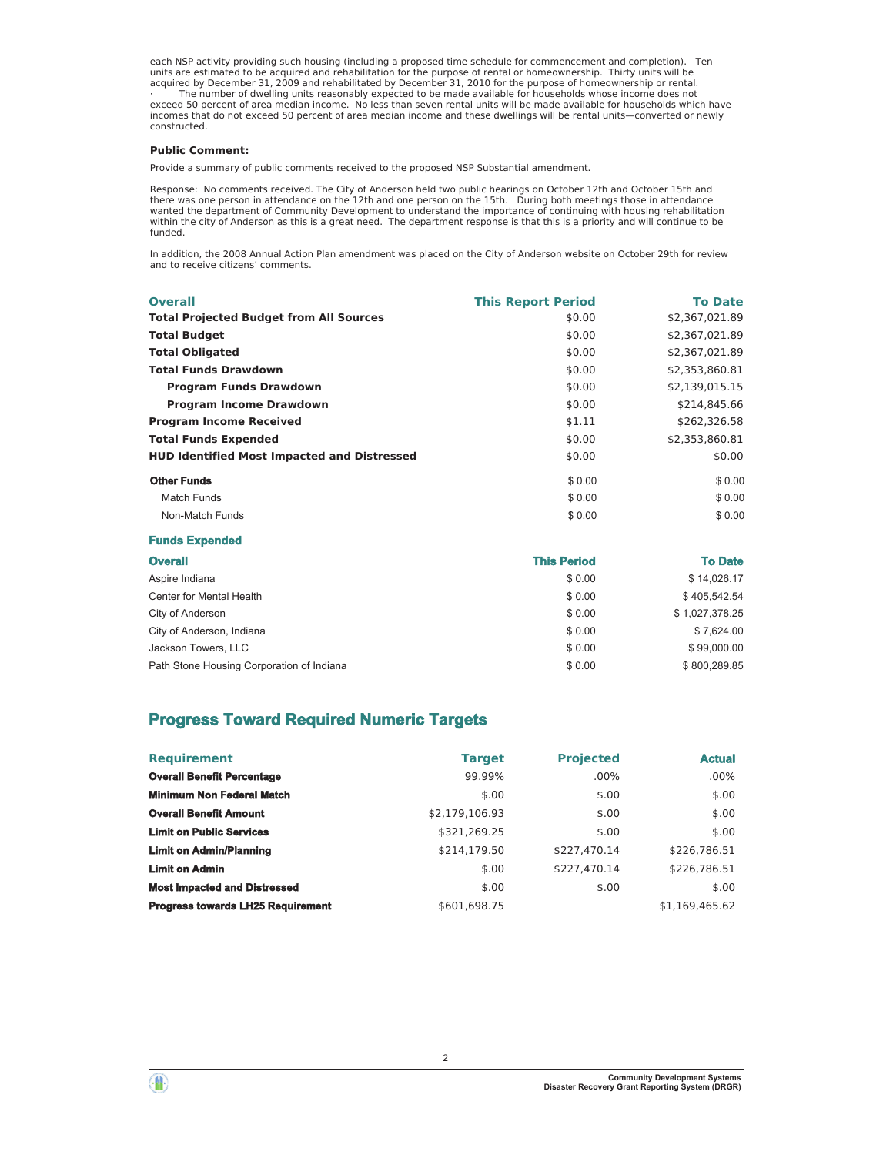each NSP activity providing such housing (including a proposed time schedule for commencement and completion). Ten<br>aritis are estimated to be acquired and rehabilitation for the purpose of rental or homeownership. Thirty u incomes that do not exceed 50 percent of area median income and these dwellings will be rental units-converted or newly constructed.

#### **Public Comment:**

Provide a summary of public comments received to the proposed NSP Substantial amendment.

Response: No comments received. The City of Anderson held two public hearings on October 12th and October 15th and<br>there was one person in attendance on the 12th and one person on the 15th. During both meetings those in wanted the department of Community Development to understand the importance of continuing with housing rehabilitation within the city of Anderson as this is a great need. The department response is that this is a priority and will continue to be funded.

In addition, the 2008 Annual Action Plan amendment was placed on the City of Anderson website on October 29th for review and to receive citizens' comments.

| <b>Overall</b>                                     | <b>This Report Period</b> | <b>To Date</b> |
|----------------------------------------------------|---------------------------|----------------|
| <b>Total Projected Budget from All Sources</b>     | \$0.00                    | \$2,367,021.89 |
| <b>Total Budget</b>                                | \$0.00                    | \$2,367,021.89 |
| <b>Total Obligated</b>                             | \$0.00                    | \$2,367,021.89 |
| <b>Total Funds Drawdown</b>                        | \$0.00                    | \$2,353,860.81 |
| <b>Program Funds Drawdown</b>                      | \$0.00                    | \$2,139,015.15 |
| <b>Program Income Drawdown</b>                     | \$0.00                    | \$214,845.66   |
| <b>Program Income Received</b>                     | \$1.11                    | \$262,326.58   |
| <b>Total Funds Expended</b>                        | \$0.00                    | \$2,353,860.81 |
| <b>HUD Identified Most Impacted and Distressed</b> | \$0.00                    | \$0.00         |
| <b>Other Funds</b>                                 | \$0.00                    | \$0.00         |
| <b>Match Funds</b>                                 | \$0.00                    | \$0.00         |
| Non-Match Funds                                    | \$0.00                    | \$0.00         |

#### **Funds Expended**

| <b>Overall</b>                            | <b>This Period</b> | <b>To Date</b> |
|-------------------------------------------|--------------------|----------------|
| Aspire Indiana                            | \$0.00             | \$14,026.17    |
| Center for Mental Health                  | \$0.00             | \$405.542.54   |
| City of Anderson                          | \$0.00             | \$1,027,378.25 |
| City of Anderson, Indiana                 | \$0.00             | \$7,624.00     |
| Jackson Towers, LLC                       | \$0.00             | \$99,000.00    |
| Path Stone Housing Corporation of Indiana | \$0.00             | \$800.289.85   |

## **Progress Toward Required Numeric Targets**

| <b>Requirement</b>                       | <b>Target</b>  | <b>Projected</b> | <b>Actual</b>  |
|------------------------------------------|----------------|------------------|----------------|
| <b>Overall Benefit Percentage</b>        | 99.99%         | $.00\%$          | $.00\%$        |
| <b>Minimum Non Federal Match</b>         | \$.00          | \$.00            | \$.00          |
| <b>Overall Benefit Amount</b>            | \$2,179,106.93 | \$.00            | \$.00          |
| <b>Limit on Public Services</b>          | \$321,269.25   | \$.00            | \$.00          |
| <b>Limit on Admin/Planning</b>           | \$214.179.50   | \$227.470.14     | \$226,786.51   |
| <b>Limit on Admin</b>                    | \$.00          | \$227.470.14     | \$226,786.51   |
| <b>Most Impacted and Distressed</b>      | \$.00          | \$.00            | \$.00          |
| <b>Progress towards LH25 Requirement</b> | \$601.698.75   |                  | \$1.169.465.62 |



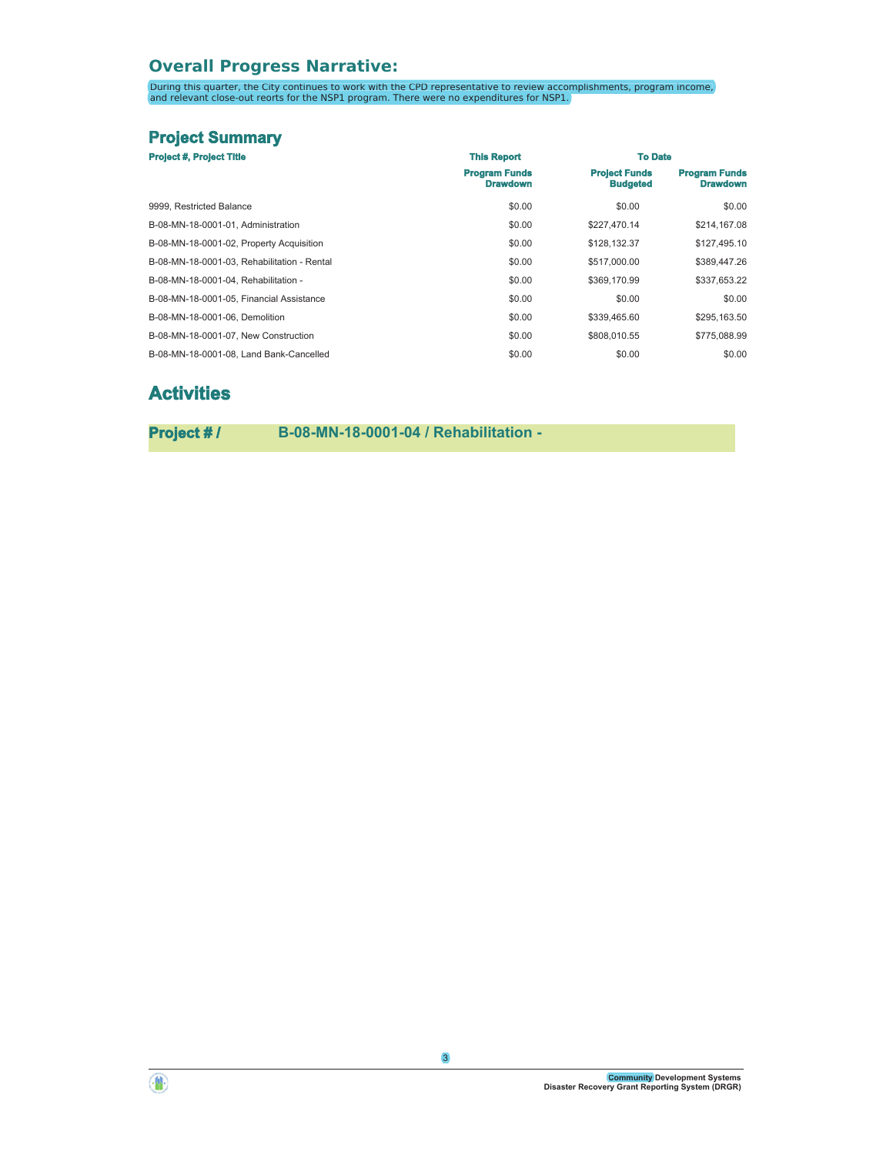# **Overall Progress Narrative:**

During this quarter, the City continues to work with the CPD representative to review accomplishments, program income,<br>and relevant close-out reorts for the NSP1 program. There were no expenditures for NSP1.

# **Project Summary**

| <b>Project #, Project Title</b>             | <b>This Report</b>                      | <b>To Date</b>                          |                                         |
|---------------------------------------------|-----------------------------------------|-----------------------------------------|-----------------------------------------|
|                                             | <b>Program Funds</b><br><b>Drawdown</b> | <b>Project Funds</b><br><b>Budgeted</b> | <b>Program Funds</b><br><b>Drawdown</b> |
| 9999. Restricted Balance                    | \$0.00                                  | \$0.00                                  | \$0.00                                  |
| B-08-MN-18-0001-01. Administration          | \$0.00                                  | \$227,470.14                            | \$214,167.08                            |
| B-08-MN-18-0001-02, Property Acquisition    | \$0.00                                  | \$128,132.37                            | \$127,495.10                            |
| B-08-MN-18-0001-03. Rehabilitation - Rental | \$0.00                                  | \$517,000.00                            | \$389,447.26                            |
| B-08-MN-18-0001-04. Rehabilitation -        | \$0.00                                  | \$369,170.99                            | \$337,653.22                            |
| B-08-MN-18-0001-05. Financial Assistance    | \$0.00                                  | \$0.00                                  | \$0.00                                  |
| B-08-MN-18-0001-06. Demolition              | \$0.00                                  | \$339,465.60                            | \$295,163.50                            |
| B-08-MN-18-0001-07. New Construction        | \$0.00                                  | \$808,010.55                            | \$775,088.99                            |
| B-08-MN-18-0001-08. Land Bank-Cancelled     | \$0.00                                  | \$0.00                                  | \$0.00                                  |

# **Activities**

**Project # / B-08-MN-18-0001-04 / Rehabilitation -**



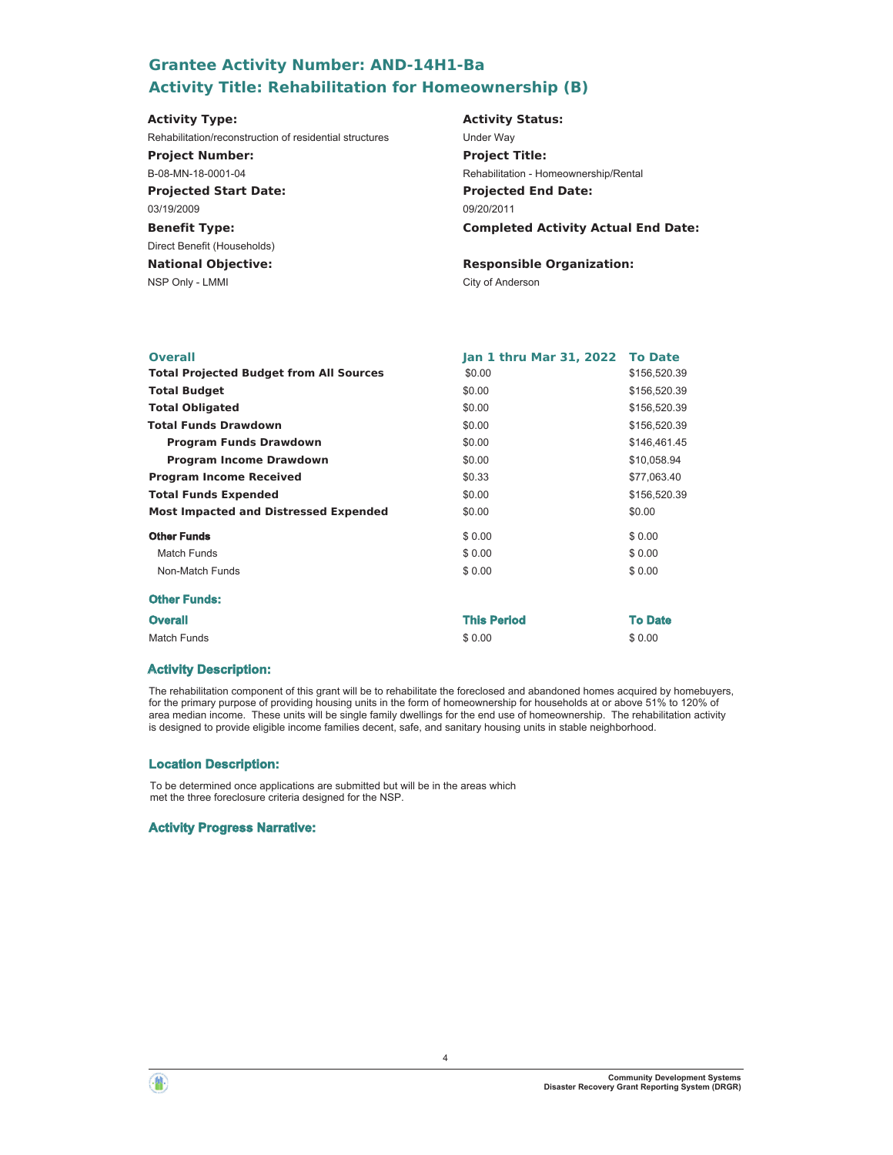# **Grantee Activity Number: AND-14H1-Ba Activity Title: Rehabilitation for Homeownership (B)**

#### **Projected Start Date: Benefit Type:** NSP Only - LMMI City of Anderson **National Objective: Activity Status: Projected End Date: Completed Activity Actual End Date: Activity Type:** 09/20/2011 03/19/2009 Direct Benefit (Households) **Responsible Organization:** Rehabilitation/reconstruction of residential structures Under Way **Project Number:** B-08-MN-18-0001-04 **Project Title:** Rehabilitation - Homeownership/Rental

| <b>Overall</b>                                 | Jan 1 thru Mar 31, 2022 To Date |                |
|------------------------------------------------|---------------------------------|----------------|
| <b>Total Projected Budget from All Sources</b> | \$0.00                          | \$156,520.39   |
| <b>Total Budget</b>                            | \$0.00                          | \$156,520.39   |
| <b>Total Obligated</b>                         | \$0.00                          | \$156,520.39   |
| <b>Total Funds Drawdown</b>                    | \$0.00                          | \$156,520.39   |
| <b>Program Funds Drawdown</b>                  | \$0.00                          | \$146,461.45   |
| <b>Program Income Drawdown</b>                 | \$0.00                          | \$10,058.94    |
| <b>Program Income Received</b>                 | \$0.33                          | \$77,063.40    |
| <b>Total Funds Expended</b>                    | \$0.00                          | \$156,520.39   |
| <b>Most Impacted and Distressed Expended</b>   | \$0.00                          | \$0.00         |
| <b>Other Funds</b>                             | \$0.00                          | \$0.00         |
| Match Funds                                    | \$0.00                          | \$0.00         |
| Non-Match Funds                                | \$0.00                          | \$0.00         |
| <b>Other Funds:</b>                            |                                 |                |
| <b>Overall</b>                                 | <b>This Period</b>              | <b>To Date</b> |
| <b>Match Funds</b>                             | \$0.00                          | \$0.00         |

### **Activity Description:**

The rehabilitation component of this grant will be to rehabilitate the foreclosed and abandoned homes acquired by homebuyers, for the primary purpose of providing housing units in the form of homeownership for households at or above 51% to 120% of area median income. These units will be single family dwellings for the end use of homeownership. The rehabilitation activity is designed to provide eligible income families decent, safe, and sanitary housing units in stable neighborhood.

### **Location Description:**

To be determined once applications are submitted but will be in the areas which met the three foreclosure criteria designed for the NSP.

### **Activity Progress Narrative:**



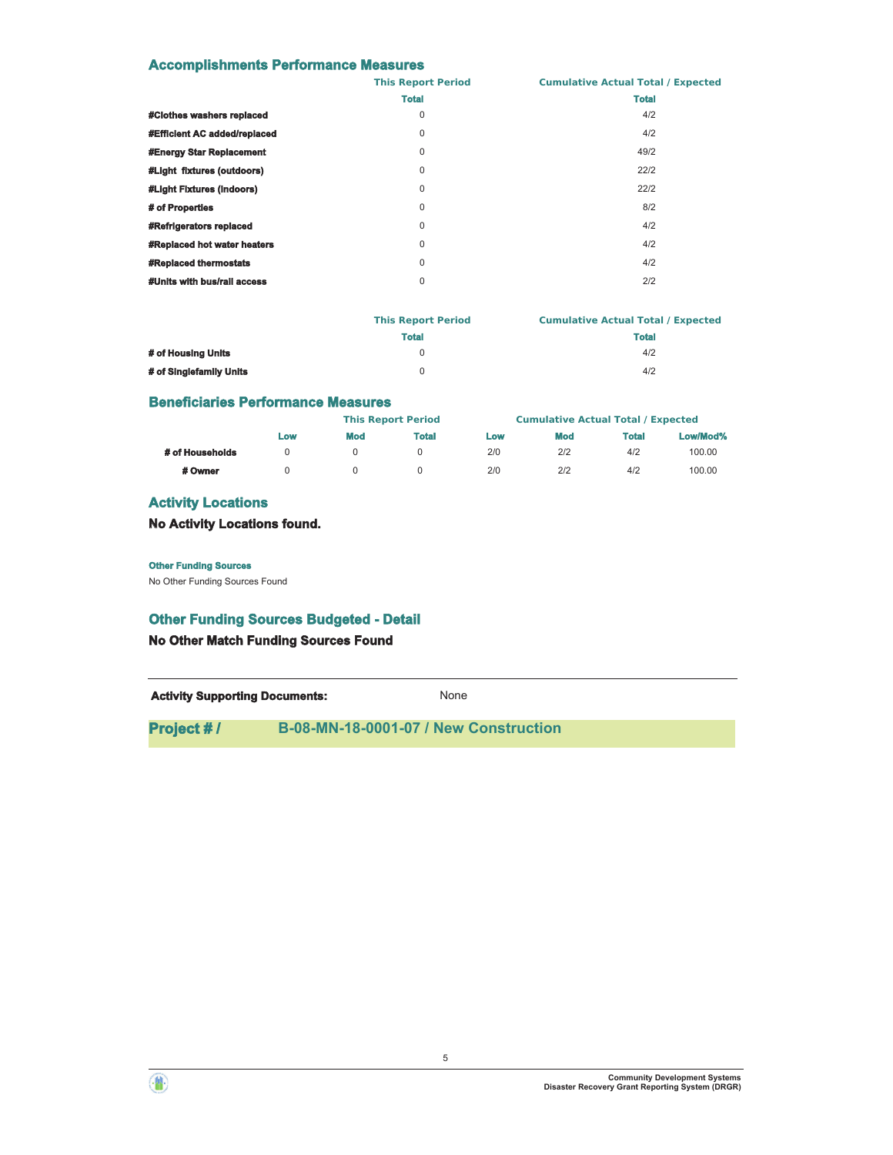## **Accomplishments Performance Measures**

|                                | <b>This Report Period</b> | <b>Cumulative Actual Total / Expected</b> |
|--------------------------------|---------------------------|-------------------------------------------|
|                                | <b>Total</b>              | <b>Total</b>                              |
| #Clothes washers replaced      | 0                         | 4/2                                       |
| #Efficient AC added/replaced   | 0                         | 4/2                                       |
| #Energy Star Replacement       | 0                         | 49/2                                      |
| #Light fixtures (outdoors)     | 0                         | 22/2                                      |
| #Light Fixtures (indoors)      | $\mathbf 0$               | 22/2                                      |
| # of Properties                | $\mathbf 0$               | 8/2                                       |
| <b>#Refrigerators replaced</b> | 0                         | 4/2                                       |
| #Replaced hot water heaters    | 0                         | 4/2                                       |
| <b>#Replaced thermostats</b>   | $\mathbf 0$               | 4/2                                       |
| #Units with bus/rail access    | $\mathbf 0$               | 2/2                                       |
|                                |                           |                                           |

|                         | <b>This Report Period</b> | <b>Cumulative Actual Total / Expected</b> |
|-------------------------|---------------------------|-------------------------------------------|
|                         | <b>Total</b>              | <b>Total</b>                              |
| # of Housing Units      |                           | 4/2                                       |
| # of Singlefamily Units |                           | 4/2                                       |

## **Beneficiaries Performance Measures**

|                 |     |     | <b>This Report Period</b> |     | <b>Cumulative Actual Total / Expected</b> |       |          |
|-----------------|-----|-----|---------------------------|-----|-------------------------------------------|-------|----------|
|                 | Low | Mod | Total                     | Low | <b>Mod</b>                                | Total | Low/Mod% |
| # of Households |     |     |                           | 2/0 | 2/2                                       | 4/2   | 100.00   |
| # Owner         |     |     |                           | 2/0 | 2/2                                       | 4/2   | 100.00   |

## **Activity Locations**

**No Activity Locations found.**

#### **Other Funding Sources**

No Other Funding Sources Found

## **Other Funding Sources Budgeted - Detail**

**No Other Match Funding Sources Found**

Activity **Supporting Documents:** None

5

**Project # / B-08-MN-18-0001-07 / New Construction**

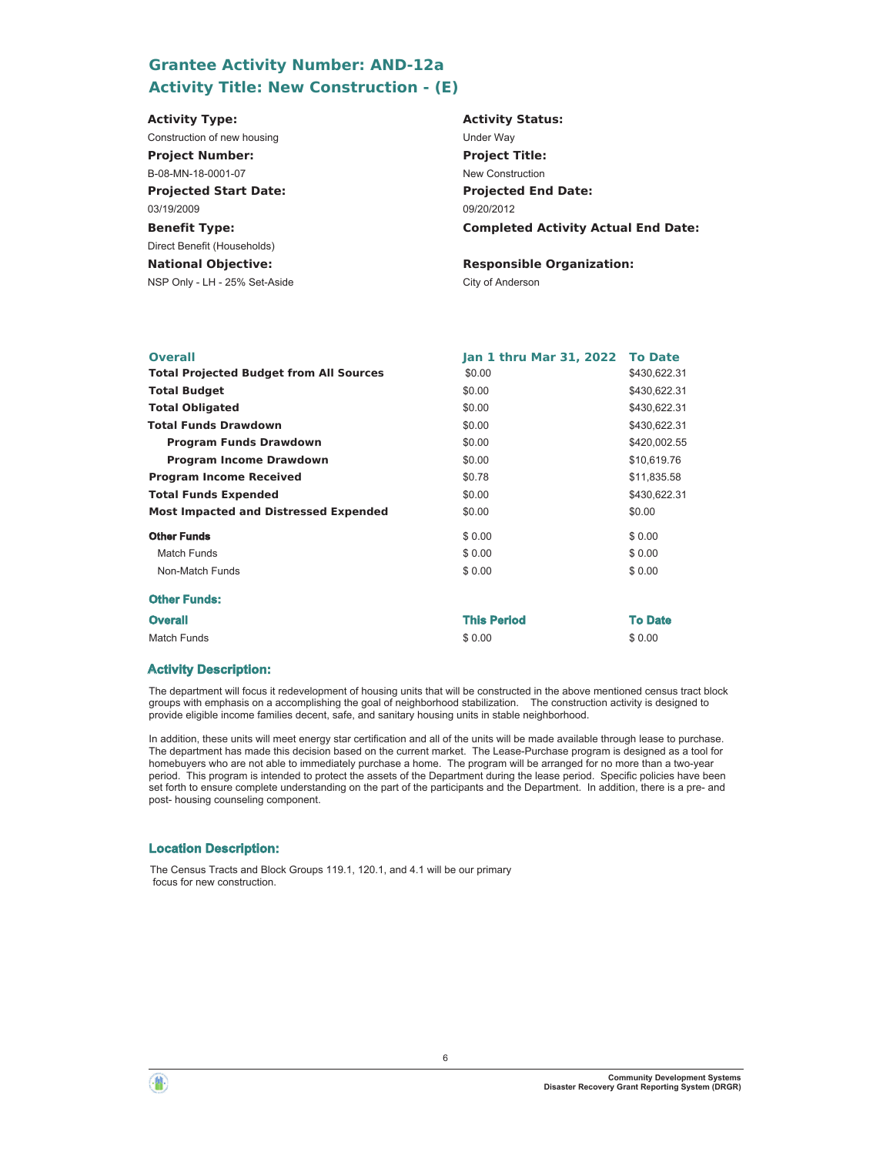# **Grantee Activity Number: AND-12a Activity Title: New Construction - (E)**

| <b>Activity Type:</b>         | <b>Activity Status:</b>                    |
|-------------------------------|--------------------------------------------|
| Construction of new housing   | <b>Under Way</b>                           |
| <b>Project Number:</b>        | <b>Project Title:</b>                      |
| B-08-MN-18-0001-07            | New Construction                           |
| <b>Projected Start Date:</b>  | <b>Projected End Date:</b>                 |
| 03/19/2009                    | 09/20/2012                                 |
| <b>Benefit Type:</b>          | <b>Completed Activity Actual End Date:</b> |
| Direct Benefit (Households)   |                                            |
| <b>National Objective:</b>    | <b>Responsible Organization:</b>           |
| NSP Only - LH - 25% Set-Aside | City of Anderson                           |

| Jan 1 thru Mar 31, 2022 To Date |                |
|---------------------------------|----------------|
| \$0.00                          | \$430,622.31   |
| \$0.00                          | \$430,622.31   |
| \$0.00                          | \$430,622.31   |
| \$0.00                          | \$430,622.31   |
| \$0.00                          | \$420,002.55   |
| \$0.00                          | \$10,619.76    |
| \$0.78                          | \$11,835.58    |
| \$0.00                          | \$430,622.31   |
| \$0.00                          | \$0.00         |
| \$0.00                          | \$0.00         |
| \$0.00                          | \$0.00         |
| \$0.00                          | \$0.00         |
|                                 |                |
| <b>This Period</b>              | <b>To Date</b> |
| \$0.00                          | \$0.00         |
|                                 |                |

### **Activity Description:**

The department will focus it redevelopment of housing units that will be constructed in the above mentioned census tract block groups with emphasis on a accomplishing the goal of neighborhood stabilization. The construction activity is designed to provide eligible income families decent, safe, and sanitary housing units in stable neighborhood.

In addition, these units will meet energy star certification and all of the units will be made available through lease to purchase. The department has made this decision based on the current market. The Lease-Purchase program is designed as a tool for homebuyers who are not able to immediately purchase a home. The program will be arranged for no more than a two-year period. This program is intended to protect the assets of the Department during the lease period. Specific policies have been set forth to ensure complete understanding on the part of the participants and the Department. In addition, there is a pre- and post- housing counseling component.

### **Location Description:**

The Census Tracts and Block Groups 119.1, 120.1, and 4.1 will be our primary focus for new construction.